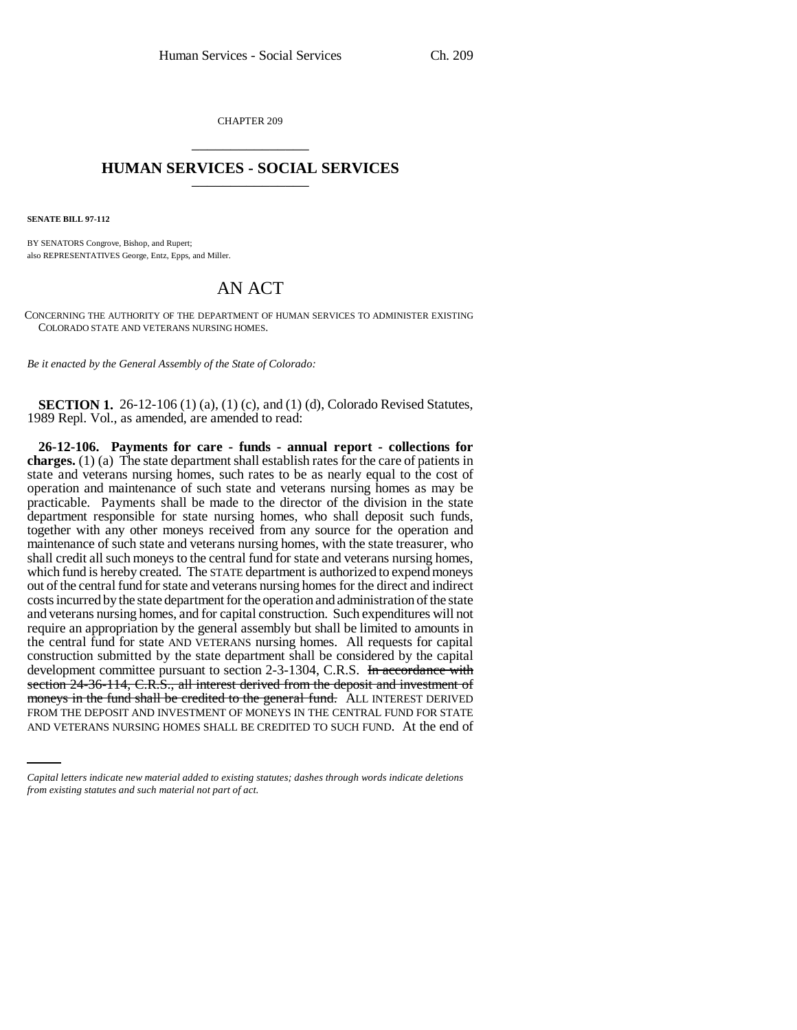CHAPTER 209 \_\_\_\_\_\_\_\_\_\_\_\_\_\_\_

## **HUMAN SERVICES - SOCIAL SERVICES** \_\_\_\_\_\_\_\_\_\_\_\_\_\_\_

**SENATE BILL 97-112**

BY SENATORS Congrove, Bishop, and Rupert; also REPRESENTATIVES George, Entz, Epps, and Miller.

## AN ACT

CONCERNING THE AUTHORITY OF THE DEPARTMENT OF HUMAN SERVICES TO ADMINISTER EXISTING COLORADO STATE AND VETERANS NURSING HOMES.

*Be it enacted by the General Assembly of the State of Colorado:*

**SECTION 1.** 26-12-106 (1) (a), (1) (c), and (1) (d), Colorado Revised Statutes, 1989 Repl. Vol., as amended, are amended to read:

moneys in the fund shall be credited to the general fund. ALL INTEREST DERIVED **26-12-106. Payments for care - funds - annual report - collections for charges.** (1) (a) The state department shall establish rates for the care of patients in state and veterans nursing homes, such rates to be as nearly equal to the cost of operation and maintenance of such state and veterans nursing homes as may be practicable. Payments shall be made to the director of the division in the state department responsible for state nursing homes, who shall deposit such funds, together with any other moneys received from any source for the operation and maintenance of such state and veterans nursing homes, with the state treasurer, who shall credit all such moneys to the central fund for state and veterans nursing homes, which fund is hereby created. The STATE department is authorized to expend moneys out of the central fund for state and veterans nursing homes for the direct and indirect costs incurred by the state department for the operation and administration of the state and veterans nursing homes, and for capital construction. Such expenditures will not require an appropriation by the general assembly but shall be limited to amounts in the central fund for state AND VETERANS nursing homes. All requests for capital construction submitted by the state department shall be considered by the capital development committee pursuant to section 2-3-1304, C.R.S. In accordance with section 24-36-114, C.R.S., all interest derived from the deposit and investment of FROM THE DEPOSIT AND INVESTMENT OF MONEYS IN THE CENTRAL FUND FOR STATE AND VETERANS NURSING HOMES SHALL BE CREDITED TO SUCH FUND. At the end of

*Capital letters indicate new material added to existing statutes; dashes through words indicate deletions from existing statutes and such material not part of act.*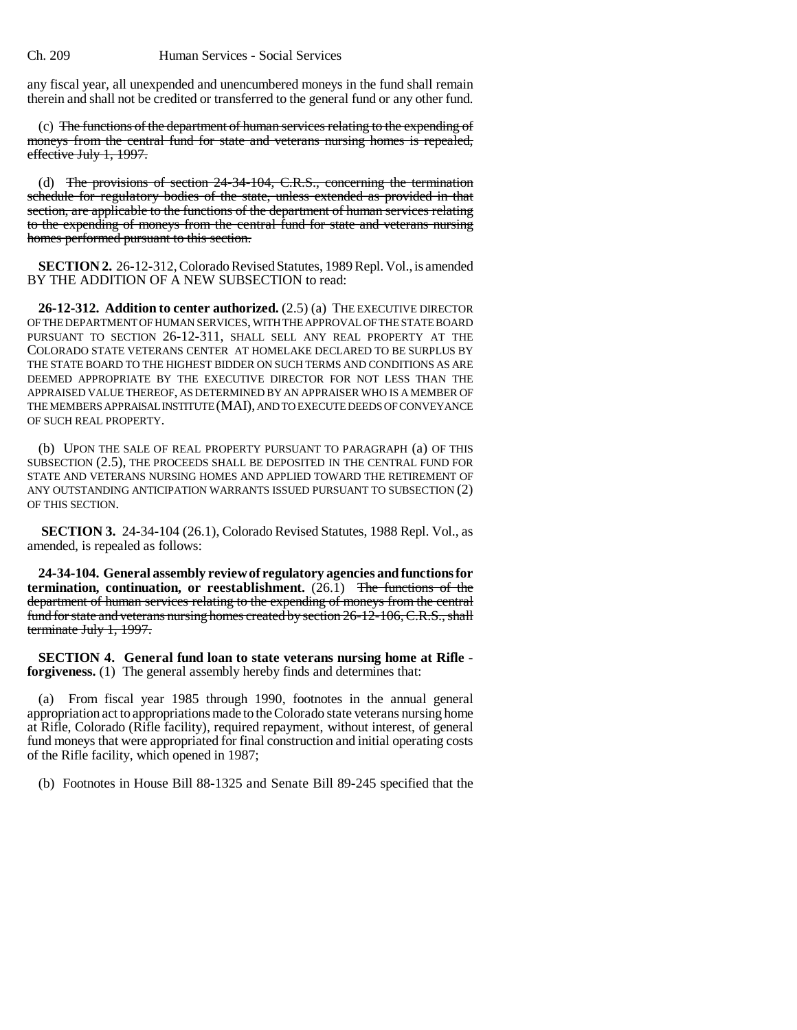any fiscal year, all unexpended and unencumbered moneys in the fund shall remain therein and shall not be credited or transferred to the general fund or any other fund.

(c) The functions of the department of human services relating to the expending of moneys from the central fund for state and veterans nursing homes is repealed, effective July 1, 1997.

(d) The provisions of section 24-34-104, C.R.S., concerning the termination schedule for regulatory bodies of the state, unless extended as provided in that section, are applicable to the functions of the department of human services relating to the expending of moneys from the central fund for state and veterans nursing homes performed pursuant to this section.

**SECTION 2.** 26-12-312, Colorado Revised Statutes, 1989 Repl. Vol., is amended BY THE ADDITION OF A NEW SUBSECTION to read:

**26-12-312. Addition to center authorized.** (2.5) (a) THE EXECUTIVE DIRECTOR OF THE DEPARTMENT OF HUMAN SERVICES, WITH THE APPROVAL OF THE STATE BOARD PURSUANT TO SECTION 26-12-311, SHALL SELL ANY REAL PROPERTY AT THE COLORADO STATE VETERANS CENTER AT HOMELAKE DECLARED TO BE SURPLUS BY THE STATE BOARD TO THE HIGHEST BIDDER ON SUCH TERMS AND CONDITIONS AS ARE DEEMED APPROPRIATE BY THE EXECUTIVE DIRECTOR FOR NOT LESS THAN THE APPRAISED VALUE THEREOF, AS DETERMINED BY AN APPRAISER WHO IS A MEMBER OF THE MEMBERS APPRAISAL INSTITUTE (MAI), AND TO EXECUTE DEEDS OF CONVEYANCE OF SUCH REAL PROPERTY.

(b) UPON THE SALE OF REAL PROPERTY PURSUANT TO PARAGRAPH (a) OF THIS SUBSECTION (2.5), THE PROCEEDS SHALL BE DEPOSITED IN THE CENTRAL FUND FOR STATE AND VETERANS NURSING HOMES AND APPLIED TOWARD THE RETIREMENT OF ANY OUTSTANDING ANTICIPATION WARRANTS ISSUED PURSUANT TO SUBSECTION (2) OF THIS SECTION.

**SECTION 3.** 24-34-104 (26.1), Colorado Revised Statutes, 1988 Repl. Vol., as amended, is repealed as follows:

**24-34-104. General assembly review of regulatory agencies and functions for termination, continuation, or reestablishment.** (26.1) The functions of the department of human services relating to the expending of moneys from the central fund for state and veterans nursing homes created by section 26-12-106, C.R.S., shall terminate July 1, 1997.

**SECTION 4. General fund loan to state veterans nursing home at Rifle forgiveness.** (1) The general assembly hereby finds and determines that:

(a) From fiscal year 1985 through 1990, footnotes in the annual general appropriation act to appropriations made to the Colorado state veterans nursing home at Rifle, Colorado (Rifle facility), required repayment, without interest, of general fund moneys that were appropriated for final construction and initial operating costs of the Rifle facility, which opened in 1987;

(b) Footnotes in House Bill 88-1325 and Senate Bill 89-245 specified that the